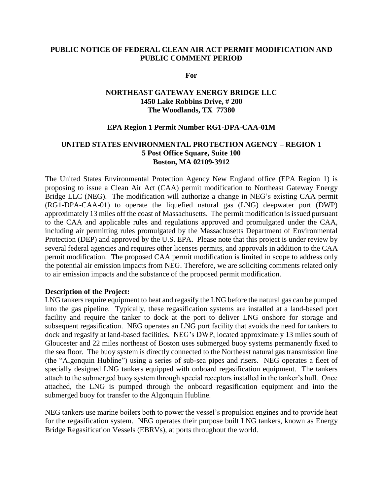# **PUBLIC NOTICE OF FEDERAL CLEAN AIR ACT PERMIT MODIFICATION AND PUBLIC COMMENT PERIOD**

**For** 

# **NORTHEAST GATEWAY ENERGY BRIDGE LLC 1450 Lake Robbins Drive, # 200 The Woodlands, TX 77380**

## **EPA Region 1 Permit Number RG1-DPA-CAA-01M**

# **UNITED STATES ENVIRONMENTAL PROTECTION AGENCY – REGION 1 5 Post Office Square, Suite 100 Boston, MA 02109-3912**

The United States Environmental Protection Agency New England office (EPA Region 1) is proposing to issue a Clean Air Act (CAA) permit modification to Northeast Gateway Energy Bridge LLC (NEG). The modification will authorize a change in NEG's existing CAA permit (RG1-DPA-CAA-01) to operate the liquefied natural gas (LNG) deepwater port (DWP) approximately 13 miles off the coast of Massachusetts. The permit modification is issued pursuant to the CAA and applicable rules and regulations approved and promulgated under the CAA, including air permitting rules promulgated by the Massachusetts Department of Environmental Protection (DEP) and approved by the U.S. EPA. Please note that this project is under review by several federal agencies and requires other licenses permits, and approvals in addition to the CAA permit modification. The proposed CAA permit modification is limited in scope to address only the potential air emission impacts from NEG. Therefore, we are soliciting comments related only to air emission impacts and the substance of the proposed permit modification.

## **Description of the Project:**

LNG tankers require equipment to heat and regasify the LNG before the natural gas can be pumped into the gas pipeline. Typically, these regasification systems are installed at a land-based port facility and require the tanker to dock at the port to deliver LNG onshore for storage and subsequent regasification. NEG operates an LNG port facility that avoids the need for tankers to dock and regasify at land-based facilities. NEG's DWP, located approximately 13 miles south of Gloucester and 22 miles northeast of Boston uses submerged buoy systems permanently fixed to the sea floor. The buoy system is directly connected to the Northeast natural gas transmission line (the "Algonquin Hubline") using a series of sub-sea pipes and risers. NEG operates a fleet of specially designed LNG tankers equipped with onboard regasification equipment. The tankers attach to the submerged buoy system through special receptors installed in the tanker's hull. Once attached, the LNG is pumped through the onboard regasification equipment and into the submerged buoy for transfer to the Algonquin Hubline.

NEG tankers use marine boilers both to power the vessel's propulsion engines and to provide heat for the regasification system. NEG operates their purpose built LNG tankers, known as Energy Bridge Regasification Vessels (EBRVs), at ports throughout the world.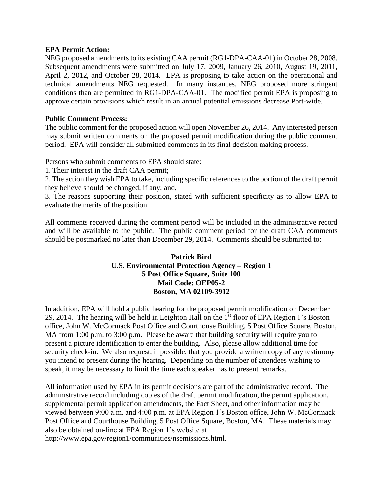## **EPA Permit Action:**

NEG proposed amendments to its existing CAA permit (RG1-DPA-CAA-01) in October 28, 2008. Subsequent amendments were submitted on July 17, 2009, January 26, 2010, August 19, 2011, April 2, 2012, and October 28, 2014. EPA is proposing to take action on the operational and technical amendments NEG requested. In many instances, NEG proposed more stringent conditions than are permitted in RG1-DPA-CAA-01. The modified permit EPA is proposing to approve certain provisions which result in an annual potential emissions decrease Port-wide.

# **Public Comment Process:**

The public comment for the proposed action will open November 26, 2014. Any interested person may submit written comments on the proposed permit modification during the public comment period. EPA will consider all submitted comments in its final decision making process.

Persons who submit comments to EPA should state:

1. Their interest in the draft CAA permit;

2. The action they wish EPA to take, including specific references to the portion of the draft permit they believe should be changed, if any; and,

3. The reasons supporting their position, stated with sufficient specificity as to allow EPA to evaluate the merits of the position.

All comments received during the comment period will be included in the administrative record and will be available to the public. The public comment period for the draft CAA comments should be postmarked no later than December 29, 2014. Comments should be submitted to:

# **Patrick Bird U.S. Environmental Protection Agency – Region 1 5 Post Office Square, Suite 100 Mail Code: OEP05-2 Boston, MA 02109-3912**

In addition, EPA will hold a public hearing for the proposed permit modification on December 29, 2014. The hearing will be held in Leighton Hall on the  $1<sup>st</sup>$  floor of EPA Region 1's Boston office, John W. McCormack Post Office and Courthouse Building, 5 Post Office Square, Boston, MA from 1:00 p.m. to 3:00 p.m. Please be aware that building security will require you to present a picture identification to enter the building. Also, please allow additional time for security check-in. We also request, if possible, that you provide a written copy of any testimony you intend to present during the hearing. Depending on the number of attendees wishing to speak, it may be necessary to limit the time each speaker has to present remarks.

All information used by EPA in its permit decisions are part of the administrative record. The administrative record including copies of the draft permit modification, the permit application, supplemental permit application amendments, the Fact Sheet, and other information may be viewed between 9:00 a.m. and 4:00 p.m. at EPA Region 1's Boston office, John W. McCormack Post Office and Courthouse Building, 5 Post Office Square, Boston, MA. These materials may also be obtained on-line at EPA Region 1's website at

http://www.epa.gov/region1/communities/nsemissions.html.